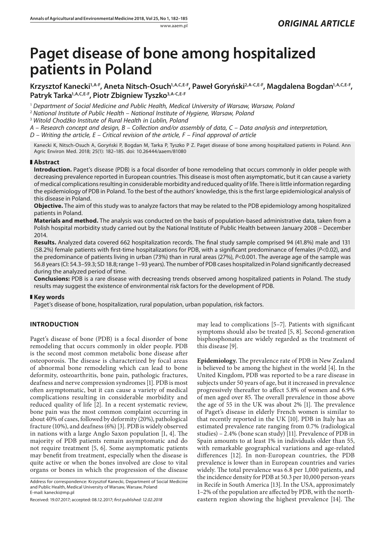# **Paget disease of bone among hospitalized patients in Poland**

Krzysztof Kanecki<sup>1,A-F</sup>, Aneta Nitsch-Osuch<sup>1,A,C,E-F</sup>, Paweł Goryński<sup>2,A-C,E-F</sup>, Magdalena Bogdan<sup>1,A,C,E-F</sup>, Patryk Tarka<sup>1, A, C, E-F</sup>, Piotr Zbigniew Tyszko<sup>3, A-C, E-F</sup>

<sup>1</sup> *Department of Social Medicine and Public Health, Medical University of Warsaw, Warsaw, Poland*

<sup>2</sup> *National Institute of Public Health – National Institute of Hygiene, Warsaw, Poland*

<sup>3</sup> *Witold Chodźko Institute of Rural Health in Lublin, Poland*

*A – Research concept and design, B – Collection and/or assembly of data, C – Data analysis and interpretation,* 

*D – Writing the article, E – Critical revision of the article, F – Final approval of article*

Kanecki K, Nitsch-Osuch A, Goryński P, Bogdan M, Tarka P, Tyszko P Z. Paget disease of bone among hospitalized patients in Poland. Ann Agric Environ Med. 2018; 25(1): 182–185. doi: 10.26444/aaem/81080

# **Abstract**

**Introduction.** Paget's disease (PDB) is a focal disorder of bone remodeling that occurs commonly in older people with decreasing prevalence reported in European countries. This disease is most often asymptomatic, but it can cause a variety of medical complications resulting in considerable morbidity and reduced quality of life. There is little information regarding the epidemiology of PDB in Poland. To the best of the authors' knowledge, this is the first large epidemiological analysis of this disease in Poland.

**Objective.** The aim of this study was to analyze factors that may be related to the PDB epidemiology among hospitalized patients in Poland.

**Materials and method.** The analysis was conducted on the basis of population-based administrative data, taken from a Polish hospital morbidity study carried out by the National Institute of Public Health between January 2008 – December 2014.

**Results.** Analyzed data covered 662 hospitalization records. The final study sample comprised 94 (41.8%) male and 131 (58.2%) female patients with first-time hospitalizations for PDB, with a significant predominance of females (*P*<0.02), and the predominance of patients living in urban (73%) than in rural areas (27%), *P<*0.001. The average age of the sample was 56.8 years (CI: 54.3–59.3; SD 18.8; range 1–93 years). The number of PDB cases hospitalized in Poland significantly decreased during the analyzed period of time.

**Conclusions:** PDB is a rare disease with decreasing trends observed among hospitalized patients in Poland. The study results may suggest the existence of environmental risk factors for the development of PDB.

# **Key words**

Paget's disease of bone, hospitalization, rural population, urban population, risk factors.

# **INTRODUCTION**

Paget's disease of bone (PDB) is a focal disorder of bone remodeling that occurs commonly in older people. PDB is the second most common metabolic bone disease after osteoporosis. The disease is characterized by focal areas of abnormal bone remodeling which can lead to bone deformity, osteoarthritis, bone pain, pathologic fractures, deafness and nerve compression syndromes [1]. PDB is most often asymptomatic, but it can cause a variety of medical complications resulting in considerable morbidity and reduced quality of life [2]. In a recent systematic review, bone pain was the most common complaint occurring in about 40% of cases, followed by deformity (20%), pathological fracture (10%), and deafness (6%) [3]. PDB is widely observed in nations with a large Anglo Saxon population [1, 4]. The majority of PDB patients remain asymptomatic and do not require treatment [5, 6]. Some asymptomatic patients may benefit from treatment, especially when the disease is quite active or when the bones involved are close to vital organs or bones in which the progression of the disease

Address for correspondence: Krzysztof Kanecki, Department of Social Medicine and Public Health, Medical University of Warsaw, Warsaw, Poland E-mail: kanecki@mp.pl

Received: 19.07.2017; accepted: 08.12.2017; *first published: 12.02.2018*

may lead to complications [5–7]. Patients with significant symptoms should also be treated [5, 8]. Second-generation bisphosphonates are widely regarded as the treatment of this disease [9].

**Epidemiology.** The prevalence rate of PDB in New Zealand is believed to be among the highest in the world [4]. In the United Kingdom, PDB was reported to be a rare disease in subjects under 50 years of age, but it increased in prevalence progressively thereafter to affect 5.8% of women and 6.9% of men aged over 85. The overall prevalence in those above the age of 55 in the UK was about 2% [1]. The prevalence of Paget's disease in elderly French women is similar to that recently reported in the UK [10]. PDB in Italy has an estimated prevalence rate ranging from 0.7% (radiological studies) – 2.4% (bone scan study) [11]. Prevalence of PDB in Spain amounts to at least 1% in individuals older than 55, with remarkable geographical variations and age-related differences [12]. In non-European countries, the PDB prevalence is lower than in European countries and varies widely. The total prevalence was 6.8 per 1,000 patients, and the incidence density for PDB at 50.3 per 10,000 person-years in Recife in South America [13]. In the USA, approximately 1–2% of the population are affected by PDB, with the northeastern region showing the highest prevalence [14]. The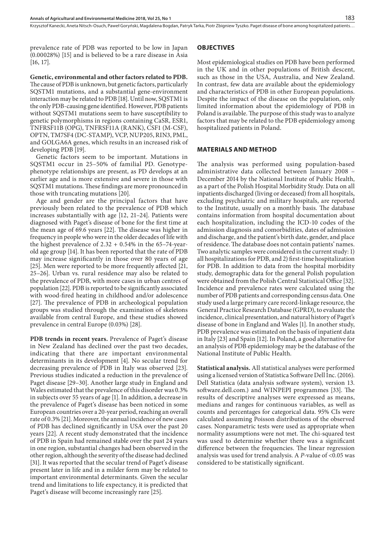Krzysztof Kanecki, Aneta Nitsch-Osuch, Paweł Goryński, Magdalena Bogdan, Patryk Tarka, Piotr Zbigniew Tyszko . Paget disease of bone among hospitalized patients…

prevalence rate of PDB was reported to be low in Japan (0.00028%) [15] and is believed to be a rare disease in Asia [16, 17].

**Genetic, environmental and other factors related to PDB.**  The cause of PDB is unknown, but genetic factors, particularly SQSTM1 mutations, and a substantial gene-environment interaction may be related to PDB [18]. Until now, SQSTM1 is the only PDB-causing gene identified. However, PDB patients without SQSTM1 mutations seem to have susceptibility to genetic polymorphisms in regions containing CaSR, ESR1, TNFRSF11B (OPG), TNFRSF11A (RANK), CSF1 (M-CSF), OPTN, TM7SF4 (DC-STAMP), VCP, NUP205, RIN3, PML, and GOLGA6A genes, which results in an increased risk of developing PDB [19].

Genetic factors seem to be important. Mutations in SQSTM1 occur in 25–50% of familial PD. Genotypephenotype relationships are present, as PD develops at an earlier age and is more extensive and severe in those with SQSTM1 mutations. These findings are more pronounced in those with truncating mutations [20].

Age and gender are the principal factors that have previously been related to the prevalence of PDB which increases substantially with age [12, 21–24]. Patients were diagnosed with Paget's disease of bone for the first time at the mean age of 69.6 years [22]. The disease was higher in frequency in people who were in the older decades of life with the highest prevalence of  $2.32 + 0.54\%$  in the 65–74-yearold age group [14]. It has been reported that the rate of PDB may increase significantly in those over 80 years of age [25]. Men were reported to be more frequently affected [21, 25–26]. Urban vs. rural residence may also be related to the prevalence of PDB, with more cases in urban centres of population [22]. PDB is reported to be significantly associated with wood-fired heating in childhood and/or adolescence [27]. The prevalence of PDB in archeological population groups was studied through the examination of skeletons available from central Europe, and these studies showed prevalence in central Europe (0.03%) [28].

**PDB trends in recent years.** Prevalence of Paget's disease in New Zealand has declined over the past two decades, indicating that there are important environmental determinants in its development [4]. No secular trend for decreasing prevalence of PDB in Italy was observed [23]. Previous studies indicated a reduction in the prevalence of Paget disease [29–30]. Another large study in England and Wales estimated that the prevalence of this disorder was 0.3% in subjects over 55 years of age [1]. In addition, a decrease in the prevalence of Paget's disease has been noticed in some European countries over a 20-year period, reaching an overall rate of 0.3% [21]. Moreover, the annual incidence of new cases of PDB has declined significantly in USA over the past 20 years [22]. A recent study demonstrated that the incidence of PDB in Spain had remained stable over the past 24 years in one region, substantial changes had been observed in the other region, although the severity of the disease had declined [31]. It was reported that the secular trend of Paget's disease present later in life and in a milder form may be related to important environmental determinants. Given the secular trend and limitations to life expectancy, it is predicted that Paget's disease will become increasingly rare [25].

#### **OBJECTIVES**

Most epidemiological studies on PDB have been performed in the UK and in other populations of British descent, such as those in the USA, Australia, and New Zealand. In contrast, few data are available about the epidemiology and characteristics of PDB in other European populations. Despite the impact of the disease on the population, only limited information about the epidemiology of PDB in Poland is available. The purpose of this study was to analyze factors that may be related to the PDB epidemiology among hospitalized patients in Poland.

#### **MATERIALS AND METHOD**

The analysis was performed using population-based administrative data collected between January 2008 – December 2014 by the National Institute of Public Health, as a part of the Polish Hospital Morbidity Study. Data on all inpatients discharged (living or deceased) from all hospitals, excluding psychiatric and military hospitals, are reported to the Institute, usually on a monthly basis. The database contains information from hospital documentation about each hospitalization, including the ICD-10 codes of the admission diagnosis and comorbidities, dates of admission and discharge, and the patient's birth date, gender, and place of residence. The database does not contain patients' names. Two analytic samples were considered in the current study: 1) all hospitalizations for PDB, and 2) first-time hospitalization for PDB. In addition to data from the hospital morbidity study, demographic data for the general Polish population were obtained from the Polish Central Statistical Office [32]. Incidence and prevalence rates were calculated using the number of PDB patients and corresponding census data. One study used a large primary care record-linkage resource, the General Practice Research Database (GPRD), to evaluate the incidence, clinical presentation, and natural history of Paget's disease of bone in England and Wales [1]. In another study, PDB prevalence was estimated on the basis of inpatient data in Italy [23] and Spain [12]. In Poland, a good alternative for an analysis of PDB epidemiology may be the database of the National Institute of Public Health.

**Statistical analysis.** All statistical analyses were performed using a licensed version of Statistica Software Dell Inc. (2016). Dell Statistica (data analysis software system), version 13. software.dell.com.) and WINPEPI programmes [33]. The results of descriptive analyses were expressed as means, medians and ranges for continuous variables, as well as counts and percentages for categorical data. 95% CIs were calculated assuming Poisson distributions of the observed cases. Nonparametric tests were used as appropriate when normality assumptions were not met. The chi-squared test was used to determine whether there was a significant difference between the frequencies. The linear regression analysis was used for trend analysis. A *P*-value of <0.05 was considered to be statistically significant.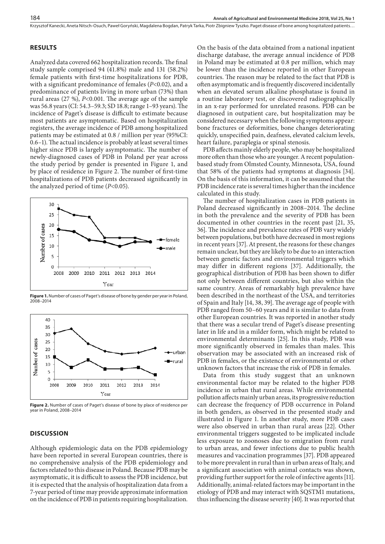#### **RESULTS**

Analyzed data covered 662 hospitalization records. The final study sample comprised 94 (41.8%) male and 131 (58.2%) female patients with first-time hospitalizations for PDB, with a significant predominance of females (*P*<0.02), and a predominance of patients living in more urban (73%) than rural areas (27 %), *P<*0.001. The average age of the sample was 56.8 years (CI: 54.3–59.3; SD 18.8; range 1–93 years). The incidence of Paget's disease is difficult to estimate because most patients are asymptomatic. Based on hospitalization registers, the average incidence of PDB among hospitalized patients may be estimated at 0.8 / million per year (95%CI: 0.6–1). The actual incidence is probably at least several times higher since PDB is largely asymptomatic. The number of newly-diagnosed cases of PDB in Poland per year across the study period by gender is presented in Figure 1, and by place of residence in Figure 2. The number of first-time hospitalizations of PDB patients decreased significantly in the analyzed period of time (*P*<0.05).



**Figure 1.** Number of cases of Paget's disease of bone by gender per year in Poland, 2008–2014



**Figure 2.** Number of cases of Paget's disease of bone by place of residence per year in Poland, 2008–2014

### **DISCUSSION**

Although epidemiologic data on the PDB epidemiology have been reported in several European countries, there is no comprehensive analysis of the PDB epidemiology and factors related to this disease in Poland. Because PDB may be asymptomatic, it is difficult to assess the PDB incidence, but it is expected that the analysis of hospitalization data from a 7-year period of time may provide approximate information on the incidence of PDB in patients requiring hospitalization.

On the basis of the data obtained from a national inpatient discharge database, the average annual incidence of PDB in Poland may be estimated at 0.8 per million, which may be lower than the incidence reported in other European countries. The reason may be related to the fact that PDB is often asymptomatic and is frequently discovered incidentally when an elevated serum alkaline phosphatase is found in a routine laboratory test, or discovered radiographically in an x-ray performed for unrelated reasons. PDB can be diagnosed in outpatient care, but hospitalization may be considered necessary when the following symptoms appear: bone fractures or deformities, bone changes deteriorating quickly, unspecified pain, deafness, elevated calcium levels, heart failure, paraplegia or spinal stenosis.

PDB affects mainly elderly people, who may be hospitalized more often than those who are younger. A recent populationbased study from Olmsted County, Minnesota, USA, found that 58% of the patients had symptoms at diagnosis [34]. On the basis of this information, it can be assumed that the PDB incidence rate is several times higher than the incidence calculated in this study.

The number of hospitalization cases in PDB patients in Poland decreased significantly in 2008–2014. The decline in both the prevalence and the severity of PDB has been documented in other countries in the recent past [21, 35, 36]. The incidence and prevalence rates of PDB vary widely between populations, but both have decreased in most regions in recent years [37]. At present, the reasons for these changes remain unclear, but they are likely to be due to an interaction between genetic factors and environmental triggers which may differ in different regions [37]. Additionally, the geographical distribution of PDB has been shown to differ not only between different countries, but also within the same country. Areas of remarkably high prevalence have been described in the northeast of the USA, and territories of Spain and Italy [14, 38, 39]. The average age of people with PDB ranged from 50–60 years and it is similar to data from other European countries. It was reported in another study that there was a secular trend of Paget's disease presenting later in life and in a milder form, which might be related to environmental determinants [25]. In this study, PDB was more significantly observed in females than males. This observation may be associated with an increased risk of PDB in females, or the existence of environmental or other unknown factors that increase the risk of PDB in females.

Data from this study suggest that an unknown environmental factor may be related to the higher PDB incidence in urban that rural areas. While environmental pollution affects mainly urban areas, its progressive reduction can decrease the frequency of PDB occurrence in Poland in both genders, as observed in the presented study and illustrated in Figure 1. In another study, more PDB cases were also observed in urban than rural areas [22]. Other environmental triggers suggested to be implicated include less exposure to zoonoses due to emigration from rural to urban areas, and fewer infections due to public health measures and vaccination programmes [37]. PDB appeared to be more prevalent in rural than in urban areas of Italy, and a significant association with animal contacts was shown, providing further support for the role of infective agents [11]. Additionally, animal-related factors may be important in the etiology of PDB and may interact with SQSTM1 mutations, thus influencing the disease severity [40]. It was reported that